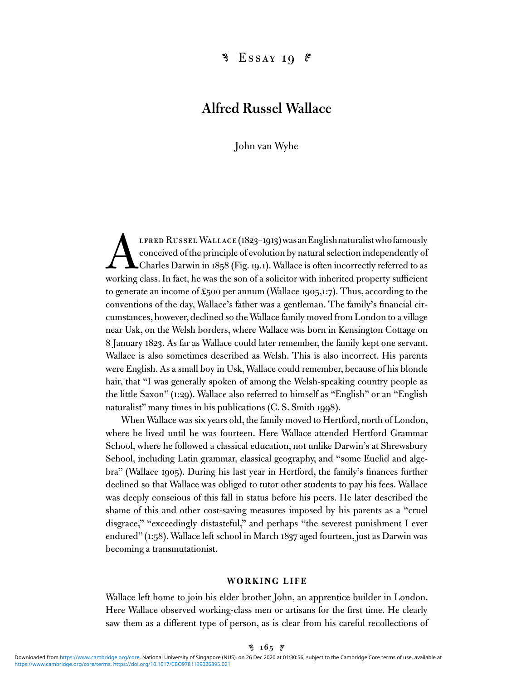#### $\mathcal{L}_{\mathcal{S}}$  $Essay_1q$   $*$

# **Alfred Russel Wallace**

## John van Wyhe

LERED RUSSEL WALLACE (1823–1913) was an English naturalist who famously<br>conceived of the principle of evolution by natural selection independently of<br>Charles Darwin in 1858 (Fig. 19.1). Wallace is often incorrectly referre lfred Russel Wallace (1823–1913) was an English naturalist who famously conceived of the principle of evolution by natural selection independently of Charles Darwin in 1858 (Fig. 19.1). Wallace is often incorrectly referred to as to generate an income of £500 per annum (Wallace 1905,1:7). Thus, according to the conventions of the day, Wallace's father was a gentleman. The family's financial circumstances, however, declined so the Wallace family moved from London to a village near Usk, on the Welsh borders, where Wallace was born in Kensington Cottage on 8 January 1823. As far as Wallace could later remember, the family kept one servant. Wallace is also sometimes described as Welsh. This is also incorrect. His parents were English. As a small boy in Usk, Wallace could remember, because of his blonde hair, that "I was generally spoken of among the Welsh-speaking country people as the little Saxon" (1:29). Wallace also referred to himself as "English" or an "English naturalist" many times in his publications (C. S. Smith 1998).

 When Wallace was six years old, the family moved to Hertford, north of London, where he lived until he was fourteen. Here Wallace attended Hertford Grammar School, where he followed a classical education, not unlike Darwin's at Shrewsbury School, including Latin grammar, classical geography, and "some Euclid and algebra" (Wallace 1905). During his last year in Hertford, the family's finances further declined so that Wallace was obliged to tutor other students to pay his fees. Wallace was deeply conscious of this fall in status before his peers. He later described the shame of this and other cost-saving measures imposed by his parents as a "cruel disgrace," "exceedingly distasteful," and perhaps "the severest punishment I ever endured" (1:58). Wallace left school in March 1837 aged fourteen, just as Darwin was becoming a transmutationist.

## **WORKING LIFE**

 Wallace left home to join his elder brother John, an apprentice builder in London. Here Wallace observed working-class men or artisans for the first time. He clearly saw them as a different type of person, as is clear from his careful recollections of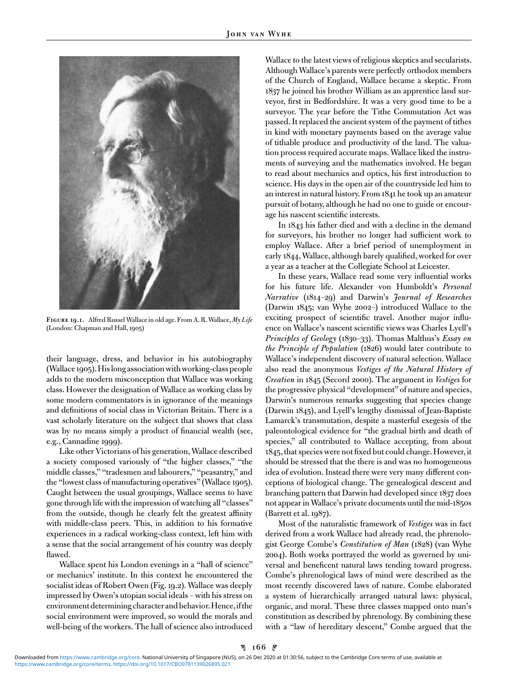

**Figure 19.1.** Alfred Russel Wallace in old age. From A. R. Wallace, *My Life* (London: Chapman and Hall, 1905 )

their language, dress, and behavior in his autobiography (Wallace 1905). His long association with working-class people adds to the modern misconception that Wallace was working class. However the designation of Wallace as working class by some modern commentators is in ignorance of the meanings and definitions of social class in Victorian Britain. There is a vast scholarly literature on the subject that shows that class was by no means simply a product of financial wealth (see, e.g., Cannadine 1999 ).

 Like other Victorians of his generation, Wallace described a society composed variously of "the higher classes," "the middle classes," "tradesmen and labourers," "peasantry," and the "lowest class of manufacturing operatives" (Wallace 1905). Caught between the usual groupings, Wallace seems to have gone through life with the impression of watching all "classes" from the outside, though he clearly felt the greatest affinity with middle-class peers. This, in addition to his formative experiences in a radical working-class context, left him with a sense that the social arrangement of his country was deeply flawed.

 Wallace spent his London evenings in a "hall of science" or mechanics' institute. In this context he encountered the socialist ideas of Robert Owen (Fig. 19.2). Wallace was deeply impressed by Owen's utopian social ideals – with his stress on environment determining character and behavior. Hence, if the social environment were improved, so would the morals and well-being of the workers. The hall of science also introduced Wallace to the latest views of religious skeptics and secularists. Although Wallace's parents were perfectly orthodox members of the Church of England, Wallace became a skeptic. From 1837 he joined his brother William as an apprentice land surveyor, first in Bedfordshire. It was a very good time to be a surveyor. The year before the Tithe Commutation Act was passed. It replaced the ancient system of the payment of tithes in kind with monetary payments based on the average value of tithable produce and productivity of the land. The valuation process required accurate maps. Wallace liked the instruments of surveying and the mathematics involved. He began to read about mechanics and optics, his first introduction to science. His days in the open air of the countryside led him to an interest in natural history. From 1841 he took up an amateur pursuit of botany, although he had no one to guide or encourage his nascent scientific interests.

 In 1843 his father died and with a decline in the demand for surveyors, his brother no longer had sufficient work to employ Wallace. After a brief period of unemployment in early 1844, Wallace, although barely qualified, worked for over a year as a teacher at the Collegiate School at Leicester.

In these years, Wallace read some very influential works for his future life. Alexander von Humboldt's *Personal Narrative* ( 1814 –29) and Darwin's *Journal of Researches*  (Darwin 1845; van Wyhe 2002-) introduced Wallace to the exciting prospect of scientific travel. Another major influence on Wallace's nascent scientific views was Charles Lyell's *Principles of Geology* (1830–33). Thomas Malthus's *Essay on the Principle of Population* (1826) would later contribute to Wallace's independent discovery of natural selection. Wallace also read the anonymous *Vestiges of the Natural History of Creation* in 1845 (Secord 2000 ). The argument in *Vestiges* for the progressive physical "development" of nature and species, Darwin's numerous remarks suggesting that species change (Darwin 1845), and Lyell's lengthy dismissal of Jean-Baptiste Lamarck's transmutation, despite a masterful exegesis of the paleontological evidence for "the gradual birth and death of species," all contributed to Wallace accepting, from about 1845, that species were not fixed but could change. However, it should be stressed that the there is and was no homogeneous idea of evolution. Instead there were very many different conceptions of biological change. The genealogical descent and branching pattern that Darwin had developed since 1837 does not appear in Wallace's private documents until the mid-1850s (Barrett et al. 1987).

 Most of the naturalistic framework of *Vestiges* was in fact derived from a work Wallace had already read, the phrenologist George Combe's *Constitution of Man* (1828) (van Wyhe 2004). Both works portrayed the world as governed by universal and beneficent natural laws tending toward progress. Combe's phrenological laws of mind were described as the most recently discovered laws of nature. Combe elaborated a system of hierarchically arranged natural laws: physical, organic, and moral. These three classes mapped onto man's constitution as described by phrenology . By combining these with a "law of hereditary descent," Combe argued that the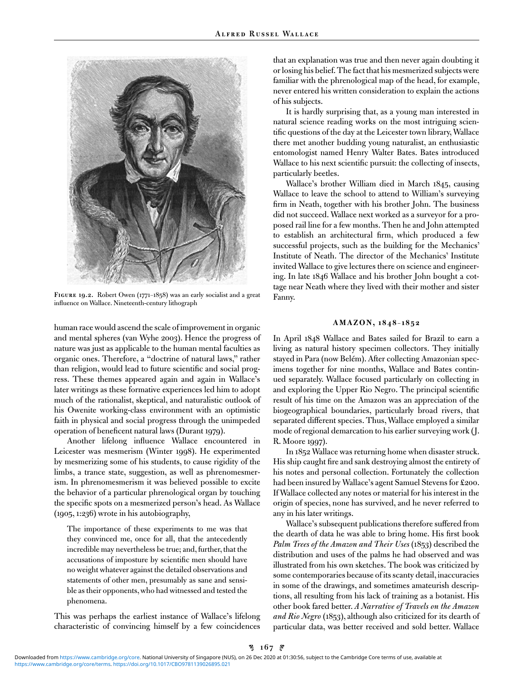

**Figure 19.2.** Robert Owen (1771–1858) was an early socialist and a great influence on Wallace. Nineteenth-century lithograph

human race would ascend the scale of improvement in organic and mental spheres (van Wyhe 2003). Hence the progress of nature was just as applicable to the human mental faculties as organic ones. Therefore, a "doctrine of natural laws ," rather than religion, would lead to future scientific and social progress. These themes appeared again and again in Wallace's later writings as these formative experiences led him to adopt much of the rationalist, skeptical, and naturalistic outlook of his Owenite working-class environment with an optimistic faith in physical and social progress through the unimpeded operation of beneficent natural laws (Durant 1979).

Another lifelong influence Wallace encountered in Leicester was mesmerism (Winter 1998). He experimented by mesmerizing some of his students, to cause rigidity of the limbs, a trance state, suggestion, as well as phrenomesmerism. In phrenomesmerism it was believed possible to excite the behavior of a particular phrenological organ by touching the specific spots on a mesmerized person's head. As Wallace  $(1905, 1:236)$  wrote in his autobiography,

 The importance of these experiments to me was that they convinced me, once for all, that the antecedently incredible may nevertheless be true; and, further, that the accusations of imposture by scientific men should have no weight whatever against the detailed observations and statements of other men, presumably as sane and sensible as their opponents, who had witnessed and tested the phenomena.

 This was perhaps the earliest instance of Wallace's lifelong characteristic of convincing himself by a few coincidences

that an explanation was true and then never again doubting it or losing his belief. The fact that his mesmerized subjects were familiar with the phrenological map of the head, for example, never entered his written consideration to explain the actions of his subjects.

 It is hardly surprising that, as a young man interested in natural science reading works on the most intriguing scientific questions of the day at the Leicester town library, Wallace there met another budding young naturalist, an enthusiastic entomologist named Henry Walter Bates . Bates introduced Wallace to his next scientific pursuit: the collecting of insects, particularly beetles .

 Wallace's brother William died in March 1845, causing Wallace to leave the school to attend to William's surveying firm in Neath, together with his brother John. The business did not succeed. Wallace next worked as a surveyor for a proposed rail line for a few months. Then he and John attempted to establish an architectural firm, which produced a few successful projects, such as the building for the Mechanics' Institute of Neath. The director of the Mechanics' Institute invited Wallace to give lectures there on science and engineering. In late 1846 Wallace and his brother John bought a cottage near Neath where they lived with their mother and sister Fanny.

## **A M A Z O N , 1 8 4 8 – 1 8 5 2**

 In April 1848 Wallace and Bates sailed for Brazil to earn a living as natural history specimen collectors. They initially stayed in Para (now Belém). After collecting Amazonian specimens together for nine months, Wallace and Bates continued separately. Wallace focused particularly on collecting in and exploring the Upper Rio Negro. The principal scientific result of his time on the Amazon was an appreciation of the biogeographical boundaries, particularly broad rivers, that separated different species. Thus, Wallace employed a similar mode of regional demarcation to his earlier surveying work (J. R. Moore 1997).

 In 1852 Wallace was returning home when disaster struck. His ship caught fire and sank destroying almost the entirety of his notes and personal collection. Fortunately the collection had been insured by Wallace's agent Samuel Stevens for £200. If Wallace collected any notes or material for his interest in the origin of species, none has survived, and he never referred to any in his later writings.

Wallace's subsequent publications therefore suffered from the dearth of data he was able to bring home. His first book *Palm Trees of the Amazon and Their Uses* (1853) described the distribution and uses of the palms he had observed and was illustrated from his own sketches. The book was criticized by some contemporaries because of its scanty detail, inaccuracies in some of the drawings, and sometimes amateurish descriptions, all resulting from his lack of training as a botanist. His other book fared better. *A Narrative of Travels on the Amazon and Rio Negro* (1853), although also criticized for its dearth of particular data, was better received and sold better. Wallace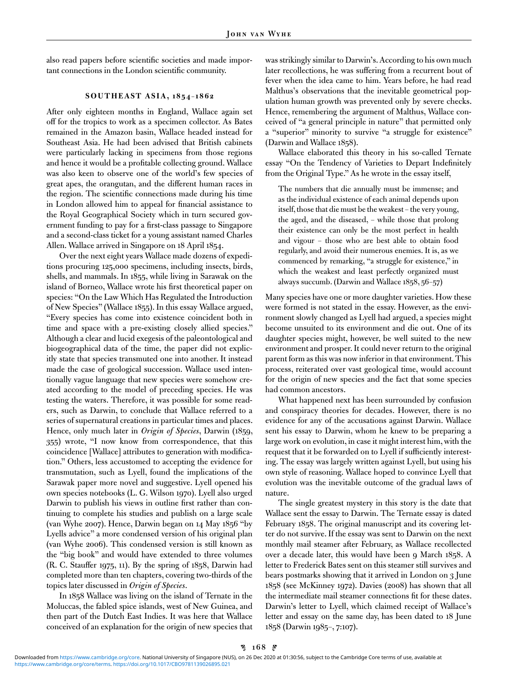also read papers before scientific societies and made important connections in the London scientific community.

## **S O U T H E A ST A S I A , 1 8 5 4 – 1 8 6 2**

 After only eighteen months in England, Wallace again set of for the tropics to work as a specimen collector. As Bates remained in the Amazon basin, Wallace headed instead for Southeast Asia. He had been advised that British cabinets were particularly lacking in specimens from those regions and hence it would be a profitable collecting ground. Wallace was also keen to observe one of the world's few species of great apes, the orangutan, and the different human races in the region. The scientific connections made during his time in London allowed him to appeal for financial assistance to the Royal Geographical Society which in turn secured government funding to pay for a first-class passage to Singapore and a second-class ticket for a young assistant named Charles Allen. Wallace arrived in Singapore on 18 April 1854.

 Over the next eight years Wallace made dozens of expeditions procuring 125,000 specimens, including insects, birds, shells, and mammals. In 1855, while living in Sarawak on the island of Borneo, Wallace wrote his first theoretical paper on species: "On the Law Which Has Regulated the Introduction of New Species" (Wallace 1855 ). In this essay Wallace argued, "Every species has come into existence coincident both in time and space with a pre-existing closely allied species." Although a clear and lucid exegesis of the paleontological and biogeographical data of the time, the paper did not explicitly state that species transmuted one into another. It instead made the case of geological succession. Wallace used intentionally vague language that new species were somehow created according to the model of preceding species. He was testing the waters. Therefore, it was possible for some readers, such as Darwin, to conclude that Wallace referred to a series of supernatural creations in particular times and places. Hence, only much later in *Origin of Species*, Darwin (1859, 355) wrote, "I now know from correspondence, that this coincidence [Wallace] attributes to generation with modification ." Others, less accustomed to accepting the evidence for transmutation, such as Lyell, found the implications of the Sarawak paper more novel and suggestive. Lyell opened his own species notebooks (L. G. Wilson 1970). Lyell also urged Darwin to publish his views in outline first rather than continuing to complete his studies and publish on a large scale (van Wyhe 2007). Hence, Darwin began on 14 May 1856 "by Lyells advice" a more condensed version of his original plan (van Wyhe 2006). This condensed version is still known as the "big book" and would have extended to three volumes (R. C. Stauffer 1975, 11). By the spring of  $1858$ , Darwin had completed more than ten chapters, covering two-thirds of the topics later discussed in *Origin of Species* .

 In 1858 Wallace was living on the island of Ternate in the Moluccas, the fabled spice islands, west of New Guinea, and then part of the Dutch East Indies. It was here that Wallace conceived of an explanation for the origin of new species that was strikingly similar to Darwin's. According to his own much later recollections, he was suffering from a recurrent bout of fever when the idea came to him. Years before, he had read Malthus's observations that the inevitable geometrical population human growth was prevented only by severe checks. Hence, remembering the argument of Malthus, Wallace conceived of "a general principle in nature" that permitted only a "superior" minority to survive "a struggle for existence" (Darwin and Wallace 1858).

 Wallace elaborated this theory in his so-called Ternate essay "On the Tendency of Varieties to Depart Indefinitely from the Original Type." As he wrote in the essay itself,

 The numbers that die annually must be immense; and as the individual existence of each animal depends upon itself, those that die must be the weakest – the very young, the aged, and the diseased, – while those that prolong their existence can only be the most perfect in health and vigour – those who are best able to obtain food regularly, and avoid their numerous enemies. It is, as we commenced by remarking, "a struggle for existence," in which the weakest and least perfectly organized must always succumb. (Darwin and Wallace 1858 , 56–57)

 Many species have one or more daughter varieties. How these were formed is not stated in the essay. However, as the environment slowly changed as Lyell had argued, a species might become unsuited to its environment and die out. One of its daughter species might, however, be well suited to the new environment and prosper. It could never return to the original parent form as this was now inferior in that environment. This process, reiterated over vast geological time, would account for the origin of new species and the fact that some species had common ancestors.

 What happened next has been surrounded by confusion and conspiracy theories for decades. However, there is no evidence for any of the accusations against Darwin. Wallace sent his essay to Darwin, whom he knew to be preparing a large work on evolution, in case it might interest him, with the request that it be forwarded on to Lyell if sufficiently interesting. The essay was largely written against Lyell, but using his own style of reasoning. Wallace hoped to convince Lyell that evolution was the inevitable outcome of the gradual laws of nature.

 The single greatest mystery in this story is the date that Wallace sent the essay to Darwin. The Ternate essay is dated February 1858. The original manuscript and its covering letter do not survive. If the essay was sent to Darwin on the next monthly mail steamer after February, as Wallace recollected over a decade later, this would have been 9 March 1858. A letter to Frederick Bates sent on this steamer still survives and bears postmarks showing that it arrived in London on 3 June 1858 (see McKinney 1972). Davies (2008) has shown that all the intermediate mail steamer connections fit for these dates. Darwin's letter to Lyell, which claimed receipt of Wallace's letter and essay on the same day, has been dated to 18 June 1858 (Darwin 1985–, 7:107).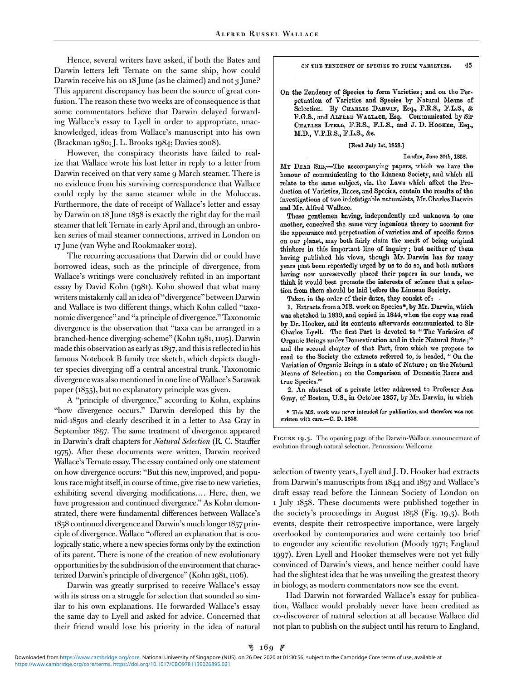Hence, several writers have asked, if both the Bates and Darwin letters left Ternate on the same ship, how could Darwin receive his on 18 June (as he claimed) and not 3 June? This apparent discrepancy has been the source of great confusion. The reason these two weeks are of consequence is that some commentators believe that Darwin delayed forwarding Wallace's essay to Lyell in order to appropriate, unacknowledged, ideas from Wallace's manuscript into his own (Brackman 1980; J. L. Brooks 1984; Davies 2008).

 However, the conspiracy theorists have failed to realize that Wallace wrote his lost letter in reply to a letter from Darwin received on that very same 9 March steamer. There is no evidence from his surviving correspondence that Wallace could reply by the same steamer while in the Moluccas. Furthermore, the date of receipt of Wallace's letter and essay by Darwin on 18 June 1858 is exactly the right day for the mail steamer that left Ternate in early April and, through an unbroken series of mail steamer connections, arrived in London on 17 June (van Wyhe and Rookmaaker 2012).

 The recurring accusations that Darwin did or could have borrowed ideas, such as the principle of divergence, from Wallace's writings were conclusively refuted in an important essay by David Kohn (1981). Kohn showed that what many writers mistakenly call an idea of "divergence" between Darwin and Wallace is two different things, which Kohn called "taxonomic divergence " and "a principle of divergence ." Taxonomic divergence is the observation that "taxa can be arranged in a branched-hence diverging-scheme" (Kohn 1981, 1105). Darwin made this observation as early as 1837, and this is reflected in his famous Notebook B family tree sketch, which depicts daughter species diverging off a central ancestral trunk. Taxonomic divergence was also mentioned in one line of Wallace's Sarawak paper (1855), but no explanatory principle was given.

 A "principle of divergence," according to Kohn, explains "how divergence occurs." Darwin developed this by the mid-1850s and clearly described it in a letter to Asa Gray in September 1857. The same treatment of divergence appeared in Darwin's draft chapters for *Natural Selection* (R. C. Stauffer 1975). After these documents were written, Darwin received Wallace's Ternate essay. The essay contained only one statement on how divergence occurs: "But this new, improved, and populous race might itself, in course of time, give rise to new varieties, exhibiting several diverging modifications.... Here, then, we have progression and continued divergence." As Kohn demonstrated, there were fundamental differences between Wallace's 1858 continued divergence and Darwin's much longer 1857 principle of divergence. Wallace "offered an explanation that is ecologically static, where a new species forms only by the extinction of its parent. There is none of the creation of new evolutionary opportunities by the subdivision of the environment that characterized Darwin's principle of divergence" (Kohn 1981, 1106).

 Darwin was greatly surprised to receive Wallace's essay with its stress on a struggle for selection that sounded so similar to his own explanations. He forwarded Wallace's essay the same day to Lyell and asked for advice. Concerned that their friend would lose his priority in the idea of natural

#### ON THE TENDENCY OF SPECIES TO FORM VARIETIES. 45

On the Tendency of Species to form Varieties; and on the Perpetuation of Varieties and Species by Natural Means of Selection. By CHARLES DARWIN, Esq., F.R.S., F.L.S., & F.G.S., and ALFRED WALLACE, Esq. Communicated by Sir CHARLES LYELL, F.R.S., F.L.S., and J.D. HOOKER, Esq., M.D., V.P.R.S., F.L.S., &c.

#### [Read July 1st, 1858.]

#### London, June 30th, 1858.

MY DEAR SIR,-The accompanying papers, which we have the honour of communicating to the Linnean Society, and which all relate to the same subject, viz. the Laws which affect the Production of Varieties, Races, and Species, contain the results of the investigations of two indefatigable naturalists, Mr. Charles Darwin and Mr. Alfred Wallace.

These gentlemen having, independently and unknown to one another, conceived the same very ingenious theory to account for the appearance and perpetuation of varieties and of specific forms on our planet, may both fairly claim the merit of being original thinkers in this important line of inquiry; but neither of them having published his views, though Mr. Darwin has for many years past been repeatedly urged by us to do so, and both authors having now unreservedly placed their papers in our hands, we think it would best promote the interests of science that a selection from them should be laid before the Linnean Society.

Taken in the order of their dates, they consist of:-

1. Extracts from a MS. work on Species\*, by Mr. Darwin, which was sketched in 1839, and copied in 1844, when the copy was read by Dr. Hooker, and its contents afterwards communicated to Sir Charles Lyell. The first Part is devoted to "The Variation of Organic Beings under Domestication and in their Natural State;" and the second chapter of that Part, from which we propose to read to the Society the extracts referred to, is headed, " On the Variation of Organic Beings in a state of Nature; on the Natural Means of Selection; on the Comparison of Domestic Races and true Species."

2. An abstract of a private letter addressed to Professor Asa Gray, of Boston, U.S., in October 1857, by Mr. Darwin, in which

\* This MS, work was never intended for publication, and therefore was not written with care.-C. D. 1858.

**Figure 19.3.** The opening page of the Darwin-Wallace announcement of evolution through natural selection. Permission: Wellcome

selection of twenty years, Lyell and J. D. Hooker had extracts from Darwin's manuscripts from 1844 and 1857 and Wallace's draft essay read before the Linnean Society of London on 1 July 1858. These documents were published together in the society's proceedings in August 1858 (Fig. 19.3). Both events, despite their retrospective importance, were largely overlooked by contemporaries and were certainly too brief to engender any scientific revolution (Moody 1971; England 1997). Even Lyell and Hooker themselves were not yet fully convinced of Darwin's views, and hence neither could have had the slightest idea that he was unveiling the greatest theory in biology, as modern commentators now see the event.

 Had Darwin not forwarded Wallace's essay for publication, Wallace would probably never have been credited as co-discoverer of natural selection at all because Wallace did not plan to publish on the subject until his return to England,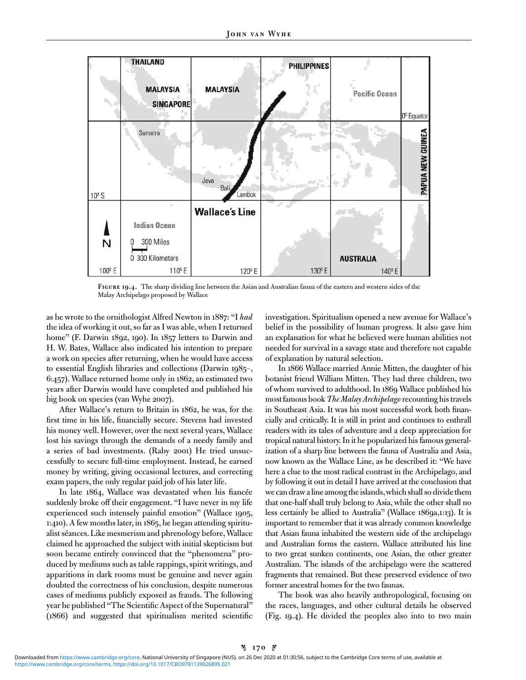

**Figure 19.4.** The sharp dividing line between the Asian and Australian fauna of the eastern and western sides of the Malay Archipelago proposed by Wallace

as he wrote to the ornithologist Alfred Newton in 1887: "I *had* the idea of working it out, so far as I was able, when I returned home" (F. Darwin 1892, 190). In 1857 letters to Darwin and H. W. Bates, Wallace also indicated his intention to prepare a work on species after returning, when he would have access to essential English libraries and collections (Darwin 1985–, 6:457). Wallace returned home only in 1862, an estimated two years after Darwin would have completed and published his big book on species (van Wyhe 2007) .

 After Wallace's return to Britain in 1862, he was, for the first time in his life, financially secure. Stevens had invested his money well. However, over the next several years, Wallace lost his savings through the demands of a needy family and a series of bad investments. (Raby 2001) He tried unsuccessfully to secure full-time employment. Instead, he earned money by writing, giving occasional lectures, and correcting exam papers, the only regular paid job of his later life.

In late 1864, Wallace was devastated when his fiancée suddenly broke off their engagement. "I have never in my life experienced such intensely painful emotion" (Wallace 1905, 1:410). A few months later, in 1865, he began attending spiritualist séances. Like mesmerism and phrenology before, Wallace claimed he approached the subject with initial skepticism but soon became entirely convinced that the "phenomena" produced by mediums such as table rappings, spirit writings, and apparitions in dark rooms must be genuine and never again doubted the correctness of his conclusion, despite numerous cases of mediums publicly exposed as frauds. The following year he published "The Scientific Aspect of the Supernatural" (1866) and suggested that spiritualism merited scientific

investigation. Spiritualism opened a new avenue for Wallace's belief in the possibility of human progress. It also gave him an explanation for what he believed were human abilities not needed for survival in a savage state and therefore not capable of explanation by natural selection.

In 1866 Wallace married Annie Mitten, the daughter of his botanist friend William Mitten. They had three children, two of whom survived to adulthood. In 1869 Wallace published his most famous book *The Malay Archipelago* recounting his travels in Southeast Asia. It was his most successful work both financially and critically. It is still in print and continues to enthrall readers with its tales of adventure and a deep appreciation for tropical natural history. In it he popularized his famous generalization of a sharp line between the fauna of Australia and Asia, now known as the Wallace Line, as he described it: "We have here a clue to the most radical contrast in the Archipelago, and by following it out in detail I have arrived at the conclusion that we can draw a line among the islands, which shall so divide them that one-half shall truly belong to Asia, while the other shall no less certainly be allied to Australia" (Wallace 1869a,1:13). It is important to remember that it was already common knowledge that Asian fauna inhabited the western side of the archipelago and Australian forms the eastern. Wallace attributed his line to two great sunken continents, one Asian, the other greater Australian. The islands of the archipelago were the scattered fragments that remained. But these preserved evidence of two former ancestral homes for the two faunas.

 The book was also heavily anthropological, focusing on the races, languages, and other cultural details he observed ( Fig. 19.4 ). He divided the peoples also into to two main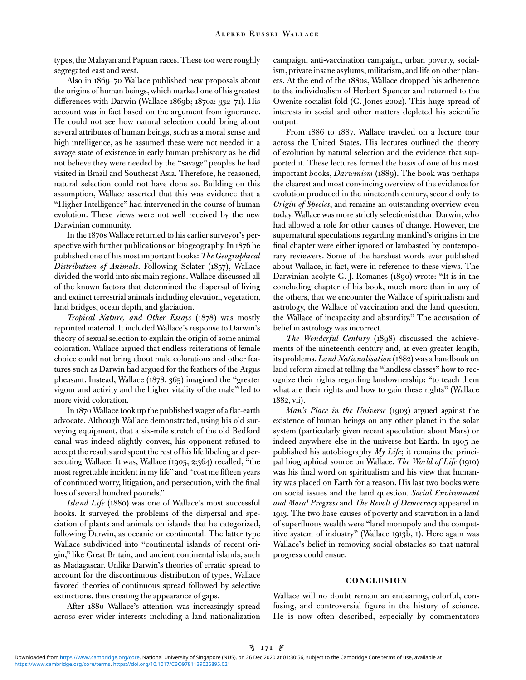types, the Malayan and Papuan races. These too were roughly segregated east and west.

Also in 1869-70 Wallace published new proposals about the origins of human beings, which marked one of his greatest differences with Darwin (Wallace 1869b; 1870a: 332-71). His account was in fact based on the argument from ignorance. He could not see how natural selection could bring about several attributes of human beings, such as a moral sense and high intelligence, as he assumed these were not needed in a savage state of existence in early human prehistory as he did not believe they were needed by the "savage" peoples he had visited in Brazil and Southeast Asia. Therefore, he reasoned, natural selection could not have done so. Building on this assumption, Wallace asserted that this was evidence that a "Higher Intelligence" had intervened in the course of human evolution. These views were not well received by the new Darwinian community.

 In the 1870s Wallace returned to his earlier surveyor's perspective with further publications on biogeography. In 1876 he published one of his most important books: *The Geographical Distribution of Animals*. Following Sclater (1857), Wallace divided the world into six main regions. Wallace discussed all of the known factors that determined the dispersal of living and extinct terrestrial animals including elevation, vegetation, land bridges, ocean depth, and glaciation.

*Tropical Nature, and Other Essays* (1878) was mostly reprinted material. It included Wallace's response to Darwin's theory of sexual selection to explain the origin of some animal coloration. Wallace argued that endless reiterations of female choice could not bring about male colorations and other features such as Darwin had argued for the feathers of the Argus pheasant. Instead, Wallace (1878, 365) imagined the "greater vigour and activity and the higher vitality of the male" led to more vivid coloration.

In 1870 Wallace took up the published wager of a flat-earth advocate. Although Wallace demonstrated, using his old surveying equipment, that a six-mile stretch of the old Bedford canal was indeed slightly convex, his opponent refused to accept the results and spent the rest of his life libeling and persecuting Wallace. It was, Wallace (1905, 2:364) recalled, "the most regrettable incident in my life" and "cost me fifteen years of continued worry, litigation, and persecution, with the final loss of several hundred pounds."

*Island Life* (1880) was one of Wallace's most successful books. It surveyed the problems of the dispersal and speciation of plants and animals on islands that he categorized, following Darwin, as oceanic or continental. The latter type Wallace subdivided into "continental islands of recent origin," like Great Britain, and ancient continental islands, such as Madagascar. Unlike Darwin's theories of erratic spread to account for the discontinuous distribution of types, Wallace favored theories of continuous spread followed by selective extinctions, thus creating the appearance of gaps.

 After 1880 Wallace's attention was increasingly spread across ever wider interests including a land nationalization campaign, anti-vaccination campaign, urban poverty, socialism, private insane asylums, militarism, and life on other planets. At the end of the 1880s, Wallace dropped his adherence to the individualism of Herbert Spencer and returned to the Owenite socialist fold (G. Jones 2002). This huge spread of interests in social and other matters depleted his scientific output.

 From 1886 to 1887, Wallace traveled on a lecture tour across the United States. His lectures outlined the theory of evolution by natural selection and the evidence that supported it. These lectures formed the basis of one of his most important books, *Darwinism* (1889). The book was perhaps the clearest and most convincing overview of the evidence for evolution produced in the nineteenth century, second only to *Origin of Species* , and remains an outstanding overview even today. Wallace was more strictly selectionist than Darwin, who had allowed a role for other causes of change. However, the supernatural speculations regarding mankind's origins in the final chapter were either ignored or lambasted by contemporary reviewers. Some of the harshest words ever published about Wallace, in fact, were in reference to these views. The Darwinian acolyte G. J. Romanes (1890) wrote: "It is in the concluding chapter of his book, much more than in any of the others, that we encounter the Wallace of spiritualism and astrology, the Wallace of vaccination and the land question, the Wallace of incapacity and absurdity." The accusation of belief in astrology was incorrect.

*The Wonderful Century* (1898) discussed the achievements of the nineteenth century and, at even greater length, its problems. *Land Nationalisation* (1882) was a handbook on land reform aimed at telling the "landless classes" how to recognize their rights regarding landownership: "to teach them what are their rights and how to gain these rights" (Wallace 1882 , vii).

*Man's Place in the Universe* (1903) argued against the existence of human beings on any other planet in the solar system (particularly given recent speculation about Mars) or indeed anywhere else in the universe but Earth. In 1905 he published his autobiography *My Life*; it remains the principal biographical source on Wallace. *The World of Life* ( 1910 ) was his final word on spiritualism and his view that humanity was placed on Earth for a reason. His last two books were on social issues and the land question. *Social Environment and Moral Progress* and *The Revolt of Democracy* appeared in 1913. The two base causes of poverty and starvation in a land of superfluous wealth were "land monopoly and the competitive system of industry" (Wallace 1913b, 1). Here again was Wallace's belief in removing social obstacles so that natural progress could ensue.

### **C O N C LU S I O N**

 Wallace will no doubt remain an endearing, colorful, confusing, and controversial figure in the history of science. He is now often described, especially by commentators